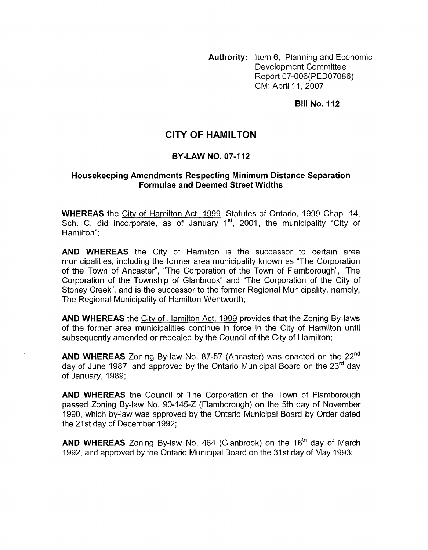**Authority:** Item 6, Planning and Economic Development Committee Report 07-006(PED07086) CM: April 11, 2007

**Bill No. 112** 

## **CITY OF HAMILTON**

#### **BY-LAW NO. 07-1 12**

### **Housekeeping Amendments Respecting Minimum Distance Separation Formulae and Deemed Street Widths**

**WHEREAS** the <u>City of Hamilton Act. 1999</u>, Statutes of Ontario, 1999 Chap. 14,<br>Sch. C. did incorporate, as of January 1<sup>st</sup>, 2001, the municipality "City of Hamilton";

**AND WHEREAS** the City of Hamilton is the successor to certain area municipalities, including the former area municipality known as "The Corporation of the Town of Ancaster", "The Corporation of the Town of Flamborough", "The Corporation of the Township of Glanbrook" and "The Corporation of the City of Stoney Creek", and is the successor to the former Regional Municipality, namely, The Regional Municipality of Hamilton-Wentworth;

**AND WHEREAS** the Citv of Hamilton Act, 1999 provides that the Zoning By-laws of the former area municipalities continue in force in the City of Hamilton until subsequently amended or repealed by the Council of the City of Hamilton;

**AND WHEREAS** Zoning By-law No. 87-57 (Ancaster) was enacted on the 22"d day of June 1987, and approved by the Ontario Municipal Board on the 23<sup>rd</sup> day of January, 1989;

**AND WHEREAS** the Council of The Corporation of the Town of Flamborough passed Zoning By-law No. 90-145-2 (Flamborough) on the 5th day of November 1990, which by-law was approved by the Ontario Municipal Board by Order dated the 21st day of December 1992;

**AND WHEREAS** Zoning By-law No. 464 (Glanbrook) on the 16<sup>th</sup> day of March 1992, and approved by the Ontario Municipal Board on the 31st day of May 1993;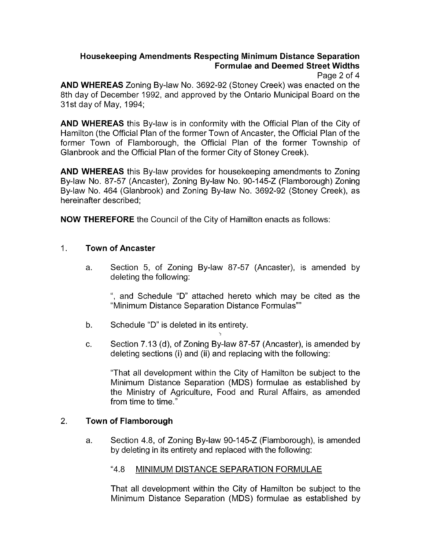# **Housekeeping Amendments Respecting Minimum Distance Separation Formulae and Deemed Street Widths**

Page 2 of 4

**AND WHEREAS** Zoning By-law No. 3692-92 (Stoney Creek) was enacted on the 8th day of December 1992, and approved by the Ontario Municipal Board on the 31 st day of May, 1994;

**AND WHEREAS** this By-law is in conformity with the Official Plan of the City of Hamilton (the Official Plan of the former Town of Ancaster, the Official Plan of the former Town of Flamborough, the Official Plan of the former Township of Glanbrook and the Official Plan of the former City of Stoney Creek).

**AND WHEREAS** this By-law provides for housekeeping amendments to Zoning By-law No. 87-57 (Ancaster), Zoning By-law No. 90-145-2 (Flamborough) Zoning By-law No. 464 (Glanbrook) and Zoning By-law No. 3692-92 (Stoney Creek), as hereinafter described;

**NOW THEREFORE** the Council of the City of Hamilton enacts as follows:

## 1. **Town of Ancaster**

a. Section 5, of Zoning By-law 87-57 (Ancaster), is amended by deleting the following:

", and Schedule "D" attached hereto which may be cited as the "Minimum Distance Separation Distance Formulas""

- b. Schedule "D" is deleted in its entirety.
- c. Section 7.13 (d), of Zoning By-law 87-57 (Ancaster), is amended by deleting sections (i) and (ii) and replacing with the following:

"That all development within the City of Hamilton be subject to the Minimum Distance Separation (MDS) formulae as established by the Ministry of Agriculture, Food and Rural Affairs, as amended from time to time."

### 2. **Town of Flamborough**

a. Section 4.8, of Zoning By-law 90-145-2 (Flamborough), is amended by deleting in its entirety and replaced with the following:

### "4.8 MINIMUM DISTANCE SEPARATION FORMULAE

That all development within the City of Hamilton be subject to the Minimum Distance Separation (MDS) formulae as established by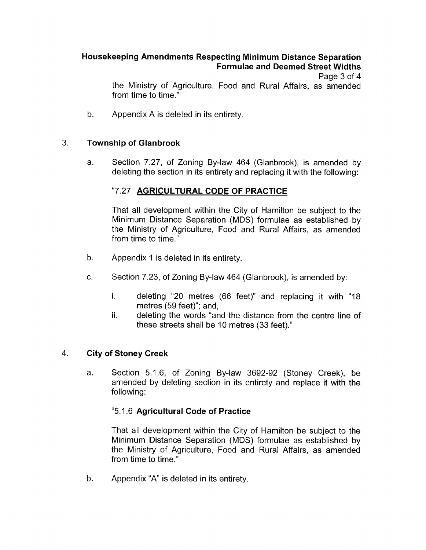# **Housekeeping Amendments Respecting Minimum Distance Separation Formulae and Deemed Street Widths**

Page 3 of 4

the Ministry of Agriculture, Food and Rural Affairs, as amended from time to time.'

b. Appendix A is deleted in its entirety

### 3. **Township of Glanbrook**

a. Section 7.27, of Zoning By-law 464 (Glanbrook), is amended by deleting the section in its entirety and replacing it with the following:

## "7.27 **AGRICULTURAL CODE OF PRACTICE**

That all development within the City of Hamilton be subject to the Minimum Distance Separation (MDS) formulae as established by the Ministry of Agriculture, Food and Rural Affairs, as amended from time to time."

- b. Appendix 1 is deleted in its entirety.
- *c.* Section 7.23, of Zoning By-law 464 (Glanbrook), is amended by:
	- i. deleting "20 metres (66 feet)" and replacing it with "18 metres (59 feet)"; and,
	- ii. deleting the words "and the distance from the centre line of these streets shall be 10 metres (33 feet)."

### 4. **City of Stoney Creek**

a. Section 5.1.6, of Zoning By-law 3692-92 (Stoney Creek), be amended by deleting section in its entirety and replace it with the following:

### "5.1.6 **Agricultural Code of Practice**

That all development within the City of Hamilton be subject to the Minimum Distance Separation (MDS) formulae as established by the Ministry of Agriculture, Food and Rural Affairs, as amended from time to time."

b. Appendix "A" is deleted in its entirety.